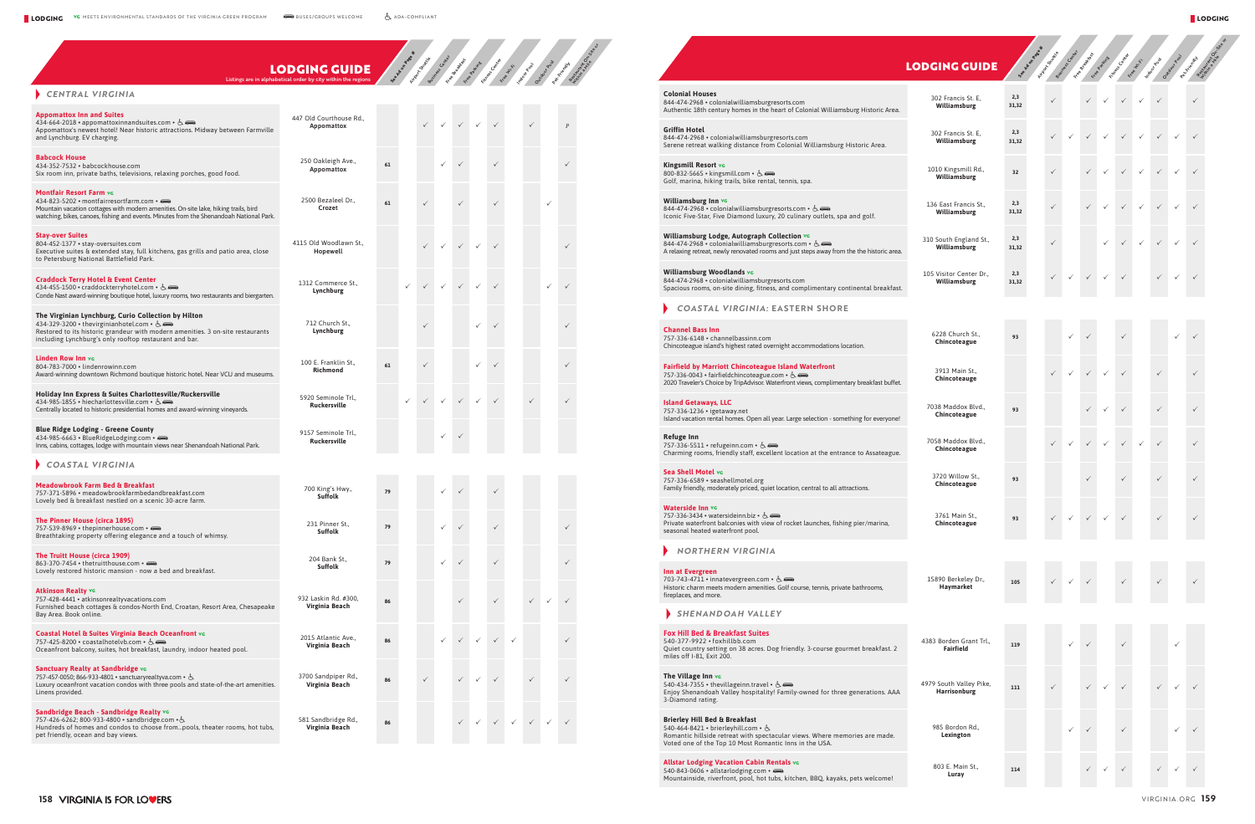|                                                                                                                       | <b>Contract Contract Contract Contract Contract Contract Contract Contract Contract Contract Contract Contract Co</b> | $\mathcal{L}(\mathcal{L})$                                                                                     |
|-----------------------------------------------------------------------------------------------------------------------|-----------------------------------------------------------------------------------------------------------------------|----------------------------------------------------------------------------------------------------------------|
|                                                                                                                       |                                                                                                                       |                                                                                                                |
| <b>Contract Contract Contract Contract Contract Contract Contract Contract Contract Contract Contract Contract Co</b> | <b>Contract Contract Contract Contract Contract Contract Contract Contract Contract Contract Contract Contract Co</b> | and the state of the state of the state of the state of the state of the state of the state of the state of th |
|                                                                                                                       |                                                                                                                       |                                                                                                                |

|                                      | <b>LODGING GUIDE</b><br>Listings are in alphabetical order by city within the regions |    |              | South of the contract of the contract of the contract of the contract of the contract of the contract of the contract of the contract of the contract of the contract of the contract of the contract of the contract of the c |              |              |              |                              |              |              |              |                                                                                                                                                                                                                         | <b>LODGING GUIDE</b>                        |              |              |              | september 200 de Basilla de Paris de la Contraction de la Contraction |              |              |              | Friends March 25 Chile |
|--------------------------------------|---------------------------------------------------------------------------------------|----|--------------|--------------------------------------------------------------------------------------------------------------------------------------------------------------------------------------------------------------------------------|--------------|--------------|--------------|------------------------------|--------------|--------------|--------------|-------------------------------------------------------------------------------------------------------------------------------------------------------------------------------------------------------------------------|---------------------------------------------|--------------|--------------|--------------|-----------------------------------------------------------------------|--------------|--------------|--------------|------------------------|
|                                      |                                                                                       |    |              |                                                                                                                                                                                                                                |              |              |              |                              |              |              |              | <b>Colonial Houses</b><br>844-474-2968 · colonialwilliamsburgresorts.com<br>Authentic 18th century homes in the heart of Colonial Williamsburg Historic Area.                                                           | 302 Francis St. E,<br>Williamsburg          | 2,3<br>31,32 | $\checkmark$ | $\checkmark$ | $\checkmark$                                                          | $\checkmark$ | $\checkmark$ | $\checkmark$ |                        |
| tween Farmville                      | 447 Old Courthouse Rd.,<br>Appomattox                                                 |    |              |                                                                                                                                                                                                                                |              |              |              |                              |              |              |              | <b>Griffin Hotel</b><br>844-474-2968 · colonialwilliamsburgresorts.com<br>Serene retreat walking distance from Colonial Williamsburg Historic Area.                                                                     | 302 Francis St. E,<br>Williamsburg          | 2,3<br>31,32 |              |              | $\checkmark$                                                          | $\checkmark$ | $\checkmark$ |              |                        |
| ood.                                 | 250 Oakleigh Ave.,<br>Appomattox                                                      | 61 |              |                                                                                                                                                                                                                                |              |              |              |                              |              |              |              | <b>Kingsmill Resort vc</b><br>800-832-5665 • kingsmill.com • 占<br>Golf, marina, hiking trails, bike rental, tennis, spa.                                                                                                | 1010 Kingsmill Rd.,<br>Williamsburg         | 32           |              |              |                                                                       |              |              |              |                        |
| g trails, bird<br>oah National Park. | 2500 Bezaleel Dr.,<br>Crozet                                                          | 61 |              |                                                                                                                                                                                                                                |              |              |              |                              |              |              |              | Williamsburg Inn vc<br>844-474-2968 • colonialwilliamsburgresorts.com • &<br>Iconic Five-Star, Five Diamond luxury, 20 culinary outlets, spa and golf.                                                                  | 136 East Francis St.,<br>Williamsburg       | 2,3<br>31,32 |              |              |                                                                       |              | $\checkmark$ |              |                        |
| tio area, close                      | 4115 Old Woodlawn St.,<br>Hopewell                                                    |    |              |                                                                                                                                                                                                                                |              | $\checkmark$ | $\checkmark$ |                              |              |              |              | Williamsburg Lodge, Autograph Collection vo<br>844-474-2968 • colonialwilliamsburgresorts.com • &<br>A relaxing retreat, newly renovated rooms and just steps away from the the historic area.                          | 310 South England St.,<br>Williamsburg      | 2,3<br>31,32 | $\checkmark$ |              |                                                                       | $\checkmark$ | $\checkmark$ | $\checkmark$ | $\checkmark$           |
|                                      | 1312 Commerce St.,<br>Lynchburg                                                       |    | $\checkmark$ |                                                                                                                                                                                                                                | $\checkmark$ | $\checkmark$ | $\checkmark$ |                              |              | $\checkmark$ | $\checkmark$ | <b>Williamsburg Woodlands vc</b><br>844-474-2968 · colonialwilliamsburgresorts.com<br>Spacious rooms, on-site dining, fitness, and complimentary continental breakfast.                                                 | 105 Visitor Center Dr.,<br>Williamsburg     | 2,3<br>31,32 |              |              |                                                                       | $\checkmark$ |              |              |                        |
| its and biergarten.                  |                                                                                       |    |              |                                                                                                                                                                                                                                |              |              |              |                              |              |              |              | <b>COASTAL VIRGINIA: EASTERN SHORE</b>                                                                                                                                                                                  |                                             |              |              |              |                                                                       |              |              |              |                        |
| ite restaurants                      | 712 Church St.,<br>Lynchburg                                                          |    |              |                                                                                                                                                                                                                                |              |              |              |                              |              |              |              | <b>Channel Bass Inn</b><br>757-336-6148 · channelbassinn.com<br>Chincoteague island's highest rated overnight accommodations location.                                                                                  | 6228 Church St<br>Chincoteague              | 93           |              |              |                                                                       |              |              |              |                        |
| CU and museums.                      | 100 E. Franklin St.,<br>Richmond                                                      | 61 |              | $\checkmark$                                                                                                                                                                                                                   |              |              |              |                              |              |              |              | <b>Fairfield by Marriott Chincoteague Island Waterfront</b><br>757-336-0043 • fairfieldchincoteague.com • &<br>2020 Traveler's Choice by TripAdvisor. Waterfront views, complimentary breakfast buffet.                 | 3913 Main St.,<br>Chincoteauge              |              |              |              |                                                                       |              |              |              |                        |
| neyards.                             | 5920 Seminole Trl.,<br>Ruckersville                                                   |    | $\checkmark$ |                                                                                                                                                                                                                                | $\checkmark$ | $\checkmark$ | $\checkmark$ |                              | $\checkmark$ |              | $\checkmark$ | <b>Island Getaways, LLC</b><br>757-336-1236 · igetaway.net<br>Island vacation rental homes. Open all year. Large selection - something for everyone!                                                                    | 7038 Maddox Blvd.,<br>Chincoteague          | 93           |              |              |                                                                       |              |              |              |                        |
| ational Park.                        | 9157 Seminole Trl.,<br>Ruckersville                                                   |    |              |                                                                                                                                                                                                                                |              |              |              |                              |              |              |              | Refuge Inn<br>757-336-5511 • refugeinn.com • &<br>Charming rooms, friendly staff, excellent location at the entrance to Assateague.                                                                                     | 7058 Maddox Blvd.,<br>Chincoteague          |              |              | $\checkmark$ |                                                                       |              |              |              |                        |
|                                      | 700 King's Hwy.,                                                                      | 79 |              |                                                                                                                                                                                                                                |              |              |              |                              |              |              |              | Sea Shell Motel vo<br>757-336-6589 · seashellmotel.org<br>Family friendly, moderately priced, quiet location, central to all attractions.                                                                               | 3720 Willow St.,<br>Chincoteague            | 93           |              |              |                                                                       |              |              |              |                        |
|                                      | Suffolk<br>231 Pinner St.<br>Suffolk                                                  | 79 |              |                                                                                                                                                                                                                                |              |              |              |                              |              |              |              | Waterside Inn vc<br>757-336-3434 • watersideinn.biz • 占 –<br>Private waterfront balconies with view of rocket launches, fishing pier/marina,<br>seasonal heated waterfront pool.                                        | 3761 Main St.,<br>Chincoteague              | 93           |              | $\checkmark$ | $\checkmark$                                                          | $\checkmark$ |              |              |                        |
|                                      |                                                                                       |    |              |                                                                                                                                                                                                                                |              |              |              |                              |              |              |              | <b>NORTHERN VIRGINIA</b>                                                                                                                                                                                                |                                             |              |              |              |                                                                       |              |              |              |                        |
|                                      | 204 Bank St.,<br>Suffolk                                                              | 79 |              |                                                                                                                                                                                                                                | $\checkmark$ | $\checkmark$ |              |                              |              |              |              | Inn at Evergreen<br>703-743-4711 • innatevergreen.com • &<br>Historic charm meets modern amenities. Golf course, tennis, private bathrooms,                                                                             | 15890 Berkeley Dr.,<br>Haymarket            | 105          |              |              |                                                                       |              |              |              |                        |
| rea, Chesapeake                      | 932 Laskin Rd. #300,<br>Virginia Beach                                                | 86 |              |                                                                                                                                                                                                                                |              |              |              |                              | $\checkmark$ | $\checkmark$ |              | fireplaces, and more.                                                                                                                                                                                                   |                                             |              |              |              |                                                                       |              |              |              |                        |
|                                      |                                                                                       |    |              |                                                                                                                                                                                                                                |              |              |              |                              |              |              |              | SHENANDOAH VALLEY                                                                                                                                                                                                       |                                             |              |              |              |                                                                       |              |              |              |                        |
| d pool.                              | 2015 Atlantic Ave.,<br>Virginia Beach                                                 | 86 |              |                                                                                                                                                                                                                                |              | $\checkmark$ | $\checkmark$ | $\checkmark$<br>$\checkmark$ |              |              |              | <b>Fox Hill Bed &amp; Breakfast Suites</b><br>540-377-9922 · foxhillbb.com<br>Quiet country setting on 38 acres. Dog friendly. 3-course gourmet breakfast. 2<br>miles off I-81. Exit 200.                               | 4383 Borden Grant Trl.,<br><b>Fairfield</b> | 119          |              |              |                                                                       |              |              |              |                        |
| he-art amenities.                    | 3700 Sandpiper Rd.,<br>Virginia Beach                                                 | 86 |              | $\checkmark$                                                                                                                                                                                                                   |              | $\checkmark$ | $\checkmark$ |                              |              |              |              | The Village Inn vc<br>540-434-7355 • thevillageinn.travel • &<br>Enjoy Shenandoah Valley hospitality! Family-owned for three generations. AAA<br>3-Diamond rating.                                                      | 4979 South Valley Pike,<br>Harrisonburg     | $111\,$      |              | $\checkmark$ |                                                                       |              |              |              |                        |
| rooms, hot tubs,                     | 581 Sandbridge Rd.,<br>Virginia Beach                                                 | 86 |              |                                                                                                                                                                                                                                |              |              |              | $\checkmark$<br>$\checkmark$ | $\checkmark$ | $\checkmark$ |              | <b>Brierley Hill Bed &amp; Breakfast</b><br>540-464-8421 • brierleyhill.com • &<br>Romantic hillside retreat with spectacular views. Where memories are made.<br>Voted one of the Top 10 Most Romantic Inns in the USA. | 985 Bordon Rd.,<br>Lexington                |              |              |              |                                                                       |              |              |              | $\checkmark$           |
|                                      |                                                                                       |    |              |                                                                                                                                                                                                                                |              |              |              |                              |              |              |              | Allstar Lodging Vacation Cabin Rentals vo<br>540-843-0606 · allstarlodging.com ·<br>Mountainside, riverfront, pool, hot tubs, kitchen, BBQ, kayaks, pets welcome!                                                       | 803 E. Main St.,<br>Luray                   | 114          |              | $\checkmark$ | $\checkmark$                                                          |              |              |              | $\checkmark$           |

| <b>CENTRAL VIRGINIA</b> |  |
|-------------------------|--|
|-------------------------|--|

| <b>Appomattox Inn and Suites</b><br>434-664-2018 • appomattoxinnandsuites.com • $\stackrel{L}{\leq}$<br>Appomattox's newest hotel! Near historic attractions. Midway between Farmville<br>and Lynchburg. EV charging.                                       | 447 Old Courthouse Rd.,<br>Appomattox      |    |              |              |              |              |              |              |  | $\overline{P}$ |
|-------------------------------------------------------------------------------------------------------------------------------------------------------------------------------------------------------------------------------------------------------------|--------------------------------------------|----|--------------|--------------|--------------|--------------|--------------|--------------|--|----------------|
| <b>Babcock House</b><br>434-352-7532 · babcockhouse.com<br>Six room inn, private baths, televisions, relaxing porches, good food.                                                                                                                           | 250 Oakleigh Ave.,<br>Appomattox           | 61 |              |              |              |              |              |              |  |                |
| <b>Montfair Resort Farm vg</b><br>434-823-5202 • montfairresortfarm.com •<br>Mountain vacation cottages with modern amenities. On-site lake, hiking trails, bird<br>watching, bikes, canoes, fishing and events. Minutes from the Shenandoah National Park. | 2500 Bezaleel Dr.,<br>Crozet               | 61 |              |              |              |              |              |              |  |                |
| <b>Stay-over Suites</b><br>804-452-1377 · stay-oversuites.com<br>Executive suites & extended stay, full kitchens, gas grills and patio area, close<br>to Petersburg National Battlefield Park.                                                              | 4115 Old Woodlawn St<br>Hopewell           |    |              | $\checkmark$ | $\checkmark$ | $\checkmark$ | $\checkmark$ |              |  |                |
| <b>Craddock Terry Hotel &amp; Event Center</b><br>434-455-1500 • craddockterryhotel.com • &<br>Conde Nast award-winning boutique hotel, luxury rooms, two restaurants and biergarten.                                                                       | 1312 Commerce St.,<br>Lynchburg            |    | $\checkmark$ | $\checkmark$ | $\checkmark$ | $\checkmark$ |              |              |  |                |
| The Virginian Lynchburg, Curio Collection by Hilton<br>434-329-3200 • thevirginianhotel.com • &<br>Restored to its historic grandeur with modern amenities. 3 on-site restaurants<br>including Lynchburg's only rooftop restaurant and bar.                 | 712 Church St.,<br>Lynchburg               |    |              | ✓            |              |              |              |              |  |                |
| <b>Linden Row Inn vc</b><br>804-783-7000 · lindenrowinn.com<br>Award-winning downtown Richmond boutique historic hotel. Near VCU and museums.                                                                                                               | 100 E. Franklin St.,<br>Richmond           | 61 |              |              |              |              |              |              |  |                |
| Holiday Inn Express & Suites Charlottesville/Ruckersville<br>434-985-1855 • hiecharlottesville.com • A<br>Centrally located to historic presidential homes and award-winning vineyards.                                                                     | 5920 Seminole Trl.,<br><b>Ruckersville</b> |    | $\checkmark$ | $\checkmark$ | $\checkmark$ | $\checkmark$ |              |              |  |                |
| <b>Blue Ridge Lodging - Greene County</b><br>434-985-6663 · BlueRidgeLodging.com ·<br>Inns, cabins, cottages, lodge with mountain views near Shenandoah National Park.                                                                                      | 9157 Seminole Trl.,<br>Ruckersville        |    |              |              |              |              |              |              |  |                |
| <b>COASTAL VIRGINIA</b>                                                                                                                                                                                                                                     |                                            |    |              |              |              |              |              |              |  |                |
| <b>Meadowbrook Farm Bed &amp; Breakfast</b><br>757-371-5896 · meadowbrookfarmbedandbreakfast.com<br>Lovely bed & breakfast nestled on a scenic 30-acre farm.                                                                                                | 700 King's Hwy.,<br>Suffolk                | 79 |              |              |              |              |              |              |  |                |
| The Pinner House (circa 1895)<br>757-539-8969 • thepinnerhouse.com •<br>Breathtaking property offering elegance and a touch of whimsy.                                                                                                                      | 231 Pinner St.,<br><b>Suffolk</b>          | 79 |              |              |              |              |              |              |  |                |
| The Truitt House (circa 1909)<br>863-370-7454 • thetruitthouse.com •<br>Lovely restored historic mansion - now a bed and breakfast.                                                                                                                         | 204 Bank St.,<br>Suffolk                   | 79 |              |              |              |              |              |              |  |                |
| <b>Atkinson Realty vc</b><br>757-428-4441 · atkinsonrealtyvacations.com<br>Furnished beach cottages & condos-North End, Croatan, Resort Area, Chesapeake<br>Bay Area. Book online.                                                                          | 932 Laskin Rd. #300,<br>Virginia Beach     | 86 |              |              |              |              |              |              |  |                |
| Coastal Hotel & Suites Virginia Beach Oceanfront vo<br>757-425-8200 • coastalhotelvb.com • &<br>Oceanfront balcony, suites, hot breakfast, laundry, indoor heated pool.                                                                                     | 2015 Atlantic Ave.,<br>Virginia Beach      | 86 |              |              | $\checkmark$ | $\checkmark$ |              | $\checkmark$ |  |                |
| <b>Sanctuary Realty at Sandbridge vg</b><br>757-457-0050; 866-933-4801 • sanctuaryrealtyva.com • &<br>Luxury oceanfront vacation condos with three pools and state-of-the-art amenities.<br>Linens provided.                                                | 3700 Sandpiper Rd.,<br>Virginia Beach      | 86 |              | ✓            |              |              |              |              |  |                |
| Sandbridge Beach - Sandbridge Realty vo<br>757-426-6262; 800-933-4800 • sandbridge.com • &<br>Hundreds of homes and condos to choose frompools, theater rooms, hot tubs,<br>pet friendly, ocean and bay views.                                              | 581 Sandbridge Rd.,<br>Virginia Beach      | 86 |              |              |              | $\checkmark$ |              | $\checkmark$ |  |                |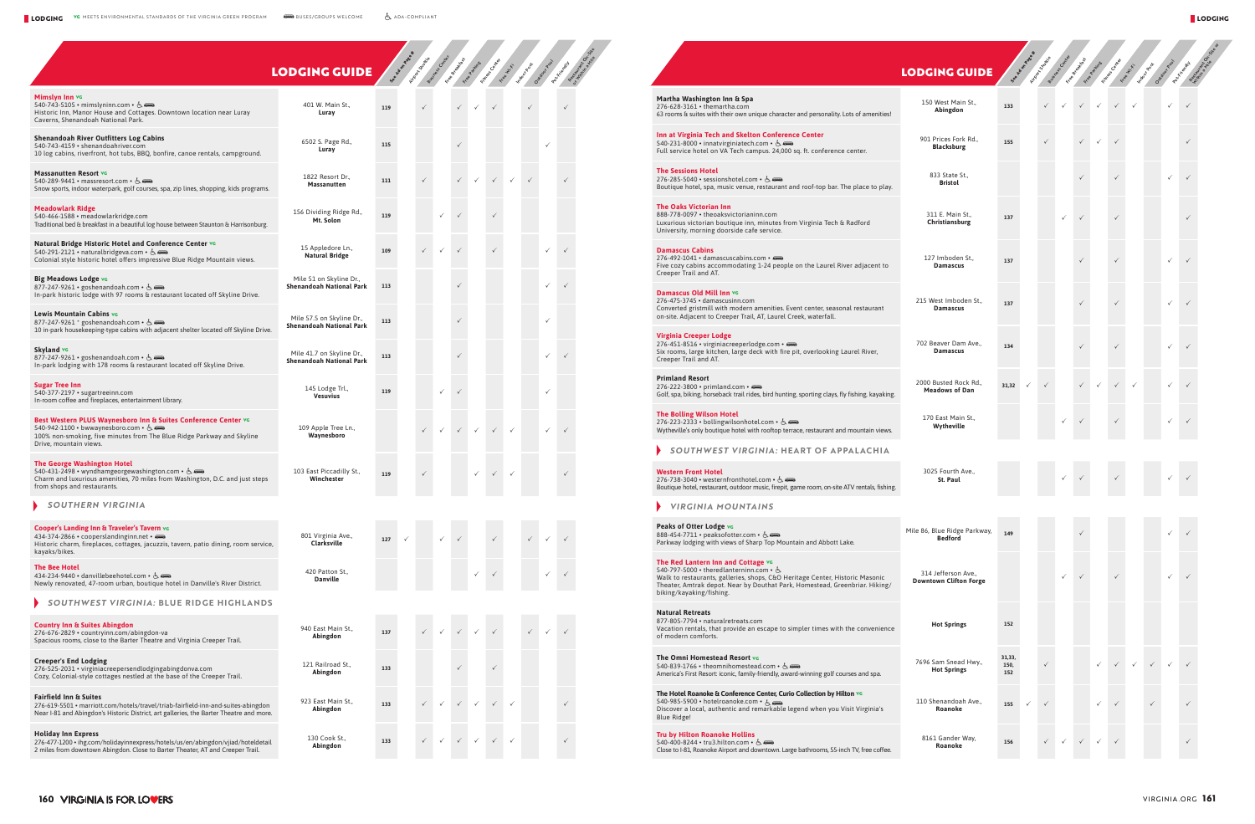121 Railroad St.,

923 East Main St.,<br>**Abingdon** 

**Abingdon <sup>133</sup>** <sup>P</sup> <sup>P</sup>

**Fairfield Inn & Suites**

276-619-5501 • [marriott.com/hotels/travel/triab-fairfield-inn-and-suites-abingdon](https://www.marriott.com/hotels/travel/triab-fairfield-inn-and-suites-abingdon/?scid=bb1a189a-fec3-4d19-a255-54ba596febe2&y_source=1_NDIyOTYxMS03MTUtbG9jYXRpb24uZ29vZ2xlX3dlYnNpdGVfb3ZlcnJpZGU%3D) Near I-81 and Abingdon's Historic District, art galleries, the Barter Theatre and more.

**Holiday Inn Express**<br>276-477-1200 [• ihg.com/holidayinnexpress/hotels/us/en/abingdon/vjiad/hoteldetail](https://www.ihg.com/holidayinnexpress/hotels/us/en/abingdon/vjiad/hoteldetail?fromRedirect=true&qSrt=sBR&qSlH=vjiad&setPMCookies=true&qSHBrC=EX&qDest=130%20Cook%20Street,%20Abingdon,%20VA,%20US&srb_u=1)<br>2 miles from downtown Abingdon. Close to Barter Theater, AT and Creeper Trail.

**Abingdon <sup>133</sup>** <sup>P</sup> <sup>P</sup> <sup>P</sup> <sup>P</sup> <sup>P</sup> <sup>P</sup> <sup>P</sup>

**Abingdon** 133 → *V V V V V V V* 

130 Cook St.,

|                                                                                                                                                                                                            | <b>LODGING GUIDE</b>                                         |     |   | Arizon Criticale | ess Center   | Free Breakfast |              | Fitchess Centres |              | Image Regis  |              |              |  |
|------------------------------------------------------------------------------------------------------------------------------------------------------------------------------------------------------------|--------------------------------------------------------------|-----|---|------------------|--------------|----------------|--------------|------------------|--------------|--------------|--------------|--------------|--|
| Mimslyn Inn vc<br>540-743-5105 • mimslyninn.com • 6.<br>Historic Inn, Manor House and Cottages. Downtown location near Luray<br>Caverns, Shenandoah National Park.                                         | 401 W. Main St.,<br>Luray                                    | 119 |   |                  |              |                | ✓            |                  |              | ✓            |              |              |  |
| Shenandoah River Outfitters Log Cabins<br>540-743-4159 • shenandoahriver.com<br>10 log cabins, riverfront, hot tubs, BBQ, bonfire, canoe rentals, campground.                                              | 6502 S. Page Rd.,<br>Luray                                   | 115 |   |                  |              |                |              |                  |              |              | $\checkmark$ |              |  |
| <b>Massanutten Resort vg</b><br>540-289-9441 • massresort.com • $6.$<br>Snow sports, indoor waterpark, golf courses, spa, zip lines, shopping, kids programs.                                              | 1822 Resort Dr.,<br>Massanutten                              | 111 |   |                  |              | $\checkmark$   |              |                  | $\checkmark$ |              |              |              |  |
| <b>Meadowlark Ridge</b><br>540-466-1588 • meadowlarkridge.com<br>Traditional bed & breakfast in a beautiful log house between Staunton & Harrisonburg.                                                     | 156 Dividing Ridge Rd.,<br>Mt. Solon                         | 119 |   |                  | ✓            | $\checkmark$   |              |                  |              |              |              |              |  |
| Natural Bridge Historic Hotel and Conference Center vo<br>540-291-2121 • naturalbridgeva.com • &<br>Colonial style historic hotel offers impressive Blue Ridge Mountain views.                             | 15 Appledore Ln.,<br><b>Natural Bridge</b>                   | 109 |   |                  |              |                |              |                  |              |              |              | $\checkmark$ |  |
| Big Meadows Lodge vc<br>877-247-9261 • goshenandoah.com • &<br>In-park historic lodge with 97 rooms & restaurant located off Skyline Drive.                                                                | Mile 51 on Skyline Dr.,<br><b>Shenandoah National Park</b>   | 113 |   |                  |              |                |              |                  |              |              |              |              |  |
| Lewis Mountain Cabins vo<br>877-247-9261 * goshenandoah.com • 占<br>10 in-park housekeeping-type cabins with adjacent shelter located off Skyline Drive.                                                    | Mile 57.5 on Skyline Dr.,<br><b>Shenandoah National Park</b> | 113 |   |                  |              |                |              |                  |              |              |              |              |  |
| Skyland vc<br>877-247-9261 • goshenandoah.com • &<br>In-park lodging with 178 rooms & restaurant located off Skyline Drive.                                                                                | Mile 41.7 on Skyline Dr.,<br><b>Shenandoah National Park</b> | 113 |   |                  |              |                |              |                  |              |              |              |              |  |
| <b>Sugar Tree Inn</b><br>540-377-2197 • sugartreeinn.com<br>In-room coffee and fireplaces, entertainment library.                                                                                          | 145 Lodge Trl.,<br><b>Vesuvius</b>                           | 119 |   |                  | ✓            |                |              |                  |              |              | $\checkmark$ |              |  |
| Best Western PLUS Waynesboro Inn & Suites Conference Center vo<br>540-942-1100 • bwwaynesboro.com • 6.<br>100% non-smoking, five minutes from The Blue Ridge Parkway and Skyline<br>Drive, mountain views. | 109 Apple Tree Ln.,<br>Waynesboro                            |     |   |                  | $\checkmark$ | $\checkmark$   | $\checkmark$ |                  | $\checkmark$ |              | $\checkmark$ |              |  |
| The George Washington Hotel<br>540-431-2498 • wyndhamgeorgewashington.com • $6 = 5$<br>Charm and luxurious amenities, 70 miles from Washington, D.C. and just steps<br>from shops and restaurants.         | 103 East Piccadilly St.,<br>Winchester                       | 119 |   |                  |              |                | ✓            |                  | ✓            |              |              |              |  |
| <b>SOUTHERN VIRGINIA</b>                                                                                                                                                                                   |                                                              |     |   |                  |              |                |              |                  |              |              |              |              |  |
| Cooper's Landing Inn & Traveler's Tavern vo<br>434-374-2866 · cooperslandinginn.net ·<br>Historic charm, fireplaces, cottages, jacuzzis, tavern, patio dining, room service,<br>kayaks/bikes.              | 801 Virginia Ave.,<br>Clarksville                            | 127 | ✓ |                  | ✓            |                |              |                  |              | $\checkmark$ | $\checkmark$ |              |  |
| <b>The Bee Hotel</b><br>434-234-9440 · danvillebeehotel.com · &<br>Newly renovated, 47-room urban, boutique hotel in Danville's River District.                                                            | 420 Patton St.,<br><b>Danville</b>                           |     |   |                  |              |                |              |                  |              |              |              |              |  |
| SOUTHWEST VIRGINIA: BLUE RIDGE HIGHLANDS                                                                                                                                                                   |                                                              |     |   |                  |              |                |              |                  |              |              |              |              |  |
| <b>Country Inn &amp; Suites Abingdon</b><br>276-676-2829 · countryinn.com/abingdon-va<br>Spacious rooms, close to the Barter Theatre and Virginia Creeper Trail.                                           | 940 East Main St.,<br>Abingdon                               | 137 |   |                  |              |                |              |                  |              |              |              |              |  |

| Martha Washington Inn & Spa<br>276-628-3161 • themartha.com<br>63 rooms & suites with their own unique character and personality. Lots of amenities!                                                                                                                     | 150 West Main St.,<br>Abingdon                       |
|--------------------------------------------------------------------------------------------------------------------------------------------------------------------------------------------------------------------------------------------------------------------------|------------------------------------------------------|
| Inn at Virginia Tech and Skelton Conference Center<br>540-231-8000 • innatvirginiatech.com • &<br>Full service hotel on VA Tech campus. 24,000 sq. ft. conference center.                                                                                                | 901 Prices Fork Rd.,<br><b>Blacksburg</b>            |
| <b>The Sessions Hotel</b><br>276-285-5040 • sessionshotel.com • &<br>Boutique hotel, spa, music venue, restaurant and roof-top bar. The place to play.                                                                                                                   | 833 State St.,<br>Bristol                            |
| <b>The Oaks Victorian Inn</b><br>888-778-0097 • theoaksvictorianinn.com<br>Luxurious victorian boutique inn, minutes from Virginia Tech & Radford<br>University, morning doorside cafe service.                                                                          | 311 E. Main St<br>Christiansburg                     |
| <b>Damascus Cabins</b><br>276-492-1041 · damascuscabins.com ·<br>Five cozy cabins accommodating 1-24 people on the Laurel River adjacent to<br>Creeper Trail and AT.                                                                                                     | 127 Imboden St.,<br><b>Damascus</b>                  |
| Damascus Old Mill Inn vc<br>276-475-3745 · damascusinn.com<br>Converted gristmill with modern amenities. Event center, seasonal restaurant<br>on-site. Adjacent to Creeper Trail, AT, Laurel Creek, waterfall.                                                           | 215 West Imboden St.,<br><b>Damascus</b>             |
| Virginia Creeper Lodge<br>276-451-8516 • virginiacreeperlodge.com •<br>Six rooms, large kitchen, large deck with fire pit, overlooking Laurel River,<br>Creeper Trail and AT.                                                                                            | 702 Beaver Dam Ave.,<br><b>Damascus</b>              |
| <b>Primland Resort</b><br>276-222-3800 • primland.com •<br>Golf, spa, biking, horseback trail rides, bird hunting, sporting clays, fly fishing, kayaking.                                                                                                                | 2000 Busted Rock Rd.,<br><b>Meadows of Dan</b>       |
| <b>The Bolling Wilson Hotel</b><br>276-223-2333 • bollingwilsonhotel.com • $6.$<br>Wytheville's only boutique hotel with rooftop terrace, restaurant and mountain views.                                                                                                 | 170 East Main St.,<br>Wytheville                     |
| SOUTHWEST VIRGINIA: HEART OF APPALACHIA                                                                                                                                                                                                                                  |                                                      |
| <b>Western Front Hotel</b><br>276-738-3040 • westernfronthotel.com • $6.$<br>Boutique hotel, restaurant, outdoor music, firepit, game room, on-site ATV rentals, fishing.                                                                                                | 3025 Fourth Ave.,<br>St. Paul                        |
| VIRGINIA MOUNTAINS                                                                                                                                                                                                                                                       |                                                      |
| Peaks of Otter Lodge vo<br>888-454-7711 • peaksofotter.com • 6.<br>Parkway lodging with views of Sharp Top Mountain and Abbott Lake.                                                                                                                                     | Mile 86, Blue Ridge Parkwa<br><b>Bedford</b>         |
| The Red Lantern Inn and Cottage vo<br>540-797-5000 • theredlanterninn.com • &<br>Walk to restaurants, galleries, shops, C&O Heritage Center, Historic Masonic<br>Theater, Amtrak depot. Near by Douthat Park, Homestead, Greenbriar. Hiking/<br>biking/kayaking/fishing. | 314 Jefferson Ave.,<br><b>Downtown Clifton Forge</b> |
| <b>Natural Retreats</b><br>877-805-7794 • naturalretreats.com<br>Vacation rentals, that provide an escape to simpler times with the convenience<br>of modern comforts.                                                                                                   | <b>Hot Springs</b>                                   |
| The Omni Homestead Resort vo<br>540-839-1766 • theomnihomestead.com • $6.$<br>America's First Resort: iconic, family-friendly, award-winning golf courses and spa.                                                                                                       | 7696 Sam Snead Hwy.,<br><b>Hot Springs</b>           |
| The Hotel Roanoke & Conference Center, Curio Collection by Hilton vc<br>540-985-5900 • hotelroanoke.com • $A_1$<br>Discover a local, authentic and remarkable legend when you Visit Virginia's<br>Blue Ridge!                                                            | 110 Shenandoah Ave.,<br>Roanoke                      |
| <b>Tru by Hilton Roanoke Hollins</b><br>$540 - 400 - 8244 \cdot \text{tru}3\text{.}$ hilton.com $\cdot$ 6.<br>Close to I-81, Roanoke Airport and downtown. Large bathrooms, 55-inch TV, free coffee.                                                                     | 8161 Gander Way,<br>Roanoke                          |
|                                                                                                                                                                                                                                                                          |                                                      |

**Creeper's End Lodging**<br>276-525-2031 • [virginiacreepersendlodgingabingdonva.com](https://virginiacreepersendlodgingabingdonva.com/)<br>Cozy, Colonial-style cottages nestled at the base of the Creeper Trail.

| <b>ODGING GUIDE</b>                                  |                       | See A OO TONBOOK | Arizon Chattle | Business Center | Free of de Krask | Free overtires | Fixages's centres | Free Miles | Indogeneous  | Oxtega <sup>dood</sup> | Percriticatory | Street<br>AND R. |
|------------------------------------------------------|-----------------------|------------------|----------------|-----------------|------------------|----------------|-------------------|------------|--------------|------------------------|----------------|------------------|
| 150 West Main St.,                                   | 133                   |                  | ✓              |                 |                  |                |                   | ✓          |              | ✓                      | ✓              |                  |
| Abingdon<br>901 Prices Fork Rd.,                     |                       |                  | $\checkmark$   |                 | $\checkmark$     |                | $\checkmark$      |            |              |                        | $\checkmark$   |                  |
| <b>Blacksburg</b>                                    | 155                   |                  |                |                 |                  |                |                   |            |              |                        |                |                  |
| 833 State St.,<br><b>Bristol</b>                     |                       |                  |                |                 | $\checkmark$     |                | $\checkmark$      |            |              | ✓                      | $\checkmark$   |                  |
| 311 E. Main St.,<br>Christiansburg                   | 137                   |                  |                |                 | $\checkmark$     |                | $\checkmark$      |            |              |                        | $\checkmark$   |                  |
| 127 Imboden St.,<br><b>Damascus</b>                  | 137                   |                  |                |                 | $\checkmark$     |                | $\checkmark$      |            |              |                        | $\checkmark$   |                  |
| 215 West Imboden St.,<br><b>Damascus</b>             | 137                   |                  |                |                 | $\checkmark$     |                | $\checkmark$      |            |              | ✓                      | $\checkmark$   |                  |
| 702 Beaver Dam Ave.,<br><b>Damascus</b>              | 134                   |                  |                |                 | $\checkmark$     |                | $\checkmark$      |            |              |                        | $\checkmark$   |                  |
| 2000 Busted Rock Rd.,<br><b>Meadows of Dan</b>       | 31,32                 | ✓                | ✓              |                 |                  |                | $\checkmark$      | ✓          |              |                        | $\checkmark$   |                  |
| 170 East Main St.,<br>Wytheville                     |                       |                  |                |                 | ✓                |                |                   |            |              |                        |                |                  |
| 3025 Fourth Ave.,<br>St. Paul                        |                       |                  |                |                 |                  |                |                   |            |              |                        |                |                  |
| Mile 86, Blue Ridge Parkway,<br><b>Bedford</b>       | 149                   |                  |                |                 | ✓                |                |                   |            |              | ✓                      | $\checkmark$   |                  |
| 314 Jefferson Ave.,<br><b>Downtown Clifton Forge</b> |                       |                  |                | ✓               | $\checkmark$     |                | $\checkmark$      |            |              | ✓                      | $\checkmark$   |                  |
| <b>Hot Springs</b>                                   | 152                   |                  |                |                 |                  |                |                   |            |              |                        |                |                  |
| 7696 Sam Snead Hwy.,<br><b>Hot Springs</b>           | 31,33,<br>150,<br>152 |                  | $\checkmark$   |                 |                  |                | $\checkmark$      | ✓          | $\checkmark$ | ✓                      | $\checkmark$   |                  |
| 110 Shenandoah Ave.,<br>Roanoke                      | 155                   | $\checkmark$     | $\checkmark$   |                 |                  |                | ✓                 |            | $\checkmark$ |                        | $\checkmark$   |                  |
| 8161 Gander Way,<br>Roanoke                          | 156                   |                  | $\checkmark$   | $\checkmark$    | $\checkmark$     |                | ✓                 |            |              |                        | $\checkmark$   |                  |

|  | <b>LODGING GUIDE</b> |  |
|--|----------------------|--|